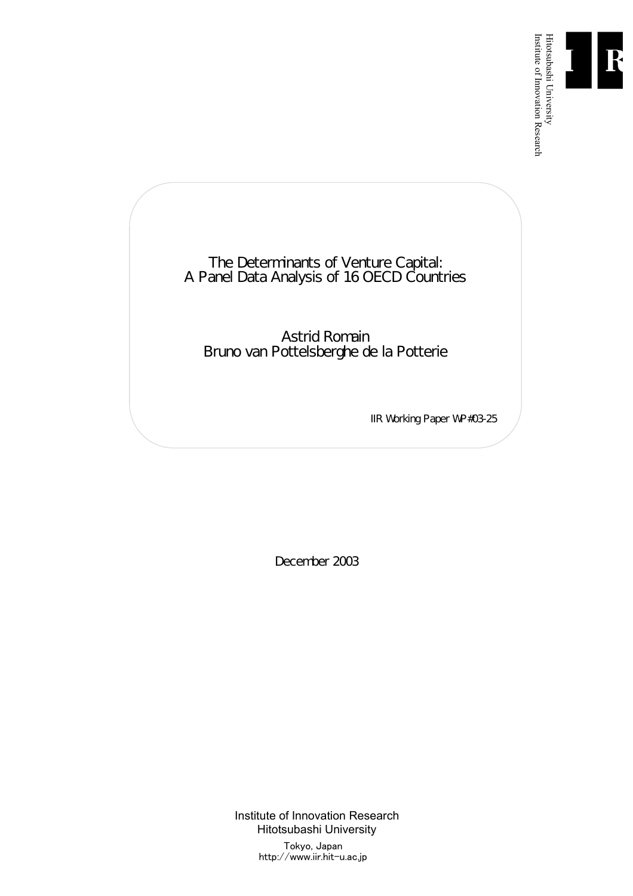

Institute of Innovation Research

The Determinants of Venture Capital: A Panel Data Analysis of 16 OECD Countries

Astrid Romain Bruno van Pottelsberghe de la Potterie

IIR Working Paper WP#03-25

December 2003

Institute of Innovation Research Hitotsubashi University Tokyo, Japan

http://www.iir.hit-u.ac.jp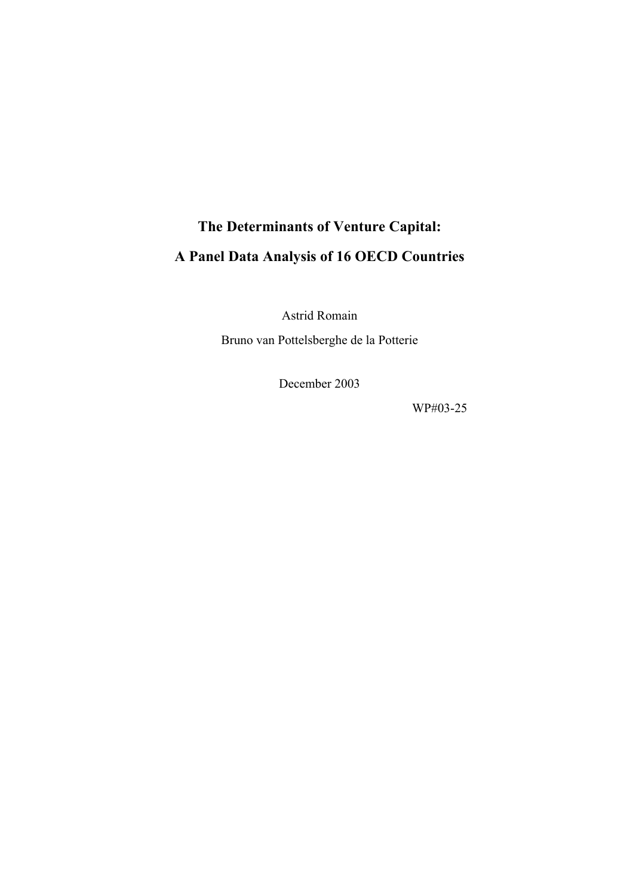# **The Determinants of Venture Capital: A Panel Data Analysis of 16 OECD Countries**

Astrid Romain

Bruno van Pottelsberghe de la Potterie

December 2003

WP#03-25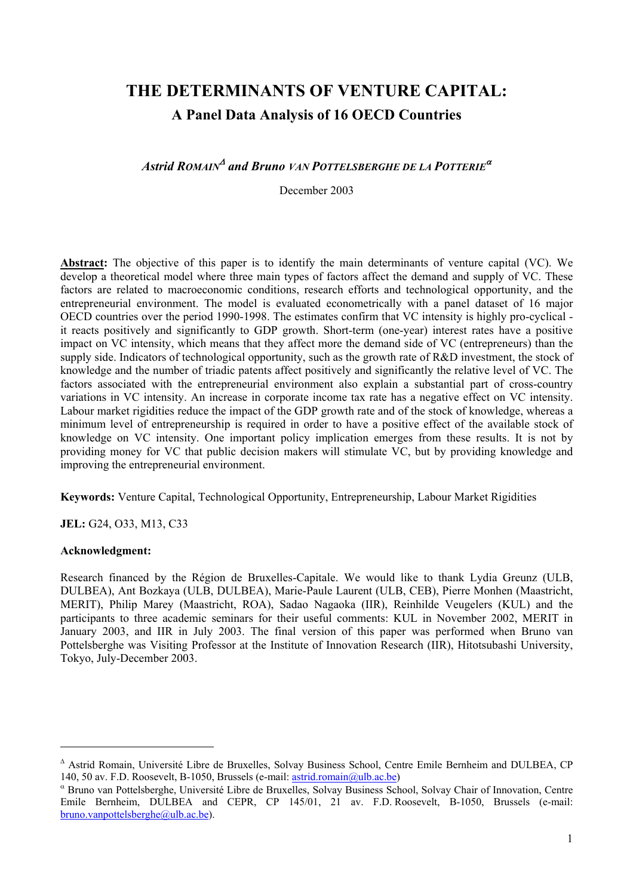# **THE DETERMINANTS OF VENTURE CAPITAL: A Panel Data Analysis of 16 OECD Countries**

# *Astrid ROMAIN*<sup>∆</sup> *and Bruno VAN POTTELSBERGHE DE LA POTTERIE*<sup>α</sup>

December 2003

**Abstract:** The objective of this paper is to identify the main determinants of venture capital (VC). We develop a theoretical model where three main types of factors affect the demand and supply of VC. These factors are related to macroeconomic conditions, research efforts and technological opportunity, and the entrepreneurial environment. The model is evaluated econometrically with a panel dataset of 16 major OECD countries over the period 1990-1998. The estimates confirm that VC intensity is highly pro-cyclical it reacts positively and significantly to GDP growth. Short-term (one-year) interest rates have a positive impact on VC intensity, which means that they affect more the demand side of VC (entrepreneurs) than the supply side. Indicators of technological opportunity, such as the growth rate of R&D investment, the stock of knowledge and the number of triadic patents affect positively and significantly the relative level of VC. The factors associated with the entrepreneurial environment also explain a substantial part of cross-country variations in VC intensity. An increase in corporate income tax rate has a negative effect on VC intensity. Labour market rigidities reduce the impact of the GDP growth rate and of the stock of knowledge, whereas a minimum level of entrepreneurship is required in order to have a positive effect of the available stock of knowledge on VC intensity. One important policy implication emerges from these results. It is not by providing money for VC that public decision makers will stimulate VC, but by providing knowledge and improving the entrepreneurial environment.

**Keywords:** Venture Capital, Technological Opportunity, Entrepreneurship, Labour Market Rigidities

**JEL:** G24, O33, M13, C33

#### **Acknowledgment:**

 $\overline{\phantom{a}}$ 

Research financed by the Région de Bruxelles-Capitale. We would like to thank Lydia Greunz (ULB, DULBEA), Ant Bozkaya (ULB, DULBEA), Marie-Paule Laurent (ULB, CEB), Pierre Monhen (Maastricht, MERIT), Philip Marey (Maastricht, ROA), Sadao Nagaoka (IIR), Reinhilde Veugelers (KUL) and the participants to three academic seminars for their useful comments: KUL in November 2002, MERIT in January 2003, and IIR in July 2003. The final version of this paper was performed when Bruno van Pottelsberghe was Visiting Professor at the Institute of Innovation Research (IIR), Hitotsubashi University, Tokyo, July-December 2003.

<sup>∆</sup> Astrid Romain, Université Libre de Bruxelles, Solvay Business School, Centre Emile Bernheim and DULBEA, CP 140, 50 av. F.D. Roosevelt, B-1050, Brussels (e-mail: astrid.romain@ulb.ac.be)

α Bruno van Pottelsberghe, Université Libre de Bruxelles, Solvay Business School, Solvay Chair of Innovation, Centre Emile Bernheim, DULBEA and CEPR, CP 145/01, 21 av. F.D. Roosevelt, B-1050, Brussels (e-mail: bruno.vanpottelsberghe@ulb.ac.be).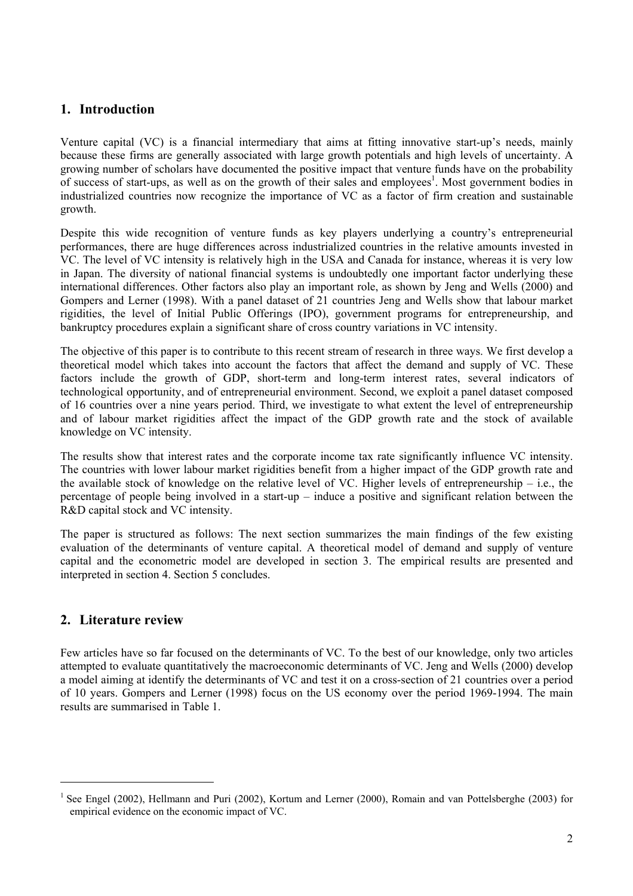# **1. Introduction**

Venture capital (VC) is a financial intermediary that aims at fitting innovative start-up's needs, mainly because these firms are generally associated with large growth potentials and high levels of uncertainty. A growing number of scholars have documented the positive impact that venture funds have on the probability of success of start-ups, as well as on the growth of their sales and employees<sup>1</sup>. Most government bodies in industrialized countries now recognize the importance of VC as a factor of firm creation and sustainable growth.

Despite this wide recognition of venture funds as key players underlying a country's entrepreneurial performances, there are huge differences across industrialized countries in the relative amounts invested in VC. The level of VC intensity is relatively high in the USA and Canada for instance, whereas it is very low in Japan. The diversity of national financial systems is undoubtedly one important factor underlying these international differences. Other factors also play an important role, as shown by Jeng and Wells (2000) and Gompers and Lerner (1998). With a panel dataset of 21 countries Jeng and Wells show that labour market rigidities, the level of Initial Public Offerings (IPO), government programs for entrepreneurship, and bankruptcy procedures explain a significant share of cross country variations in VC intensity.

The objective of this paper is to contribute to this recent stream of research in three ways. We first develop a theoretical model which takes into account the factors that affect the demand and supply of VC. These factors include the growth of GDP, short-term and long-term interest rates, several indicators of technological opportunity, and of entrepreneurial environment. Second, we exploit a panel dataset composed of 16 countries over a nine years period. Third, we investigate to what extent the level of entrepreneurship and of labour market rigidities affect the impact of the GDP growth rate and the stock of available knowledge on VC intensity.

The results show that interest rates and the corporate income tax rate significantly influence VC intensity. The countries with lower labour market rigidities benefit from a higher impact of the GDP growth rate and the available stock of knowledge on the relative level of VC. Higher levels of entrepreneurship – i.e., the percentage of people being involved in a start-up – induce a positive and significant relation between the R&D capital stock and VC intensity.

The paper is structured as follows: The next section summarizes the main findings of the few existing evaluation of the determinants of venture capital. A theoretical model of demand and supply of venture capital and the econometric model are developed in section 3. The empirical results are presented and interpreted in section 4. Section 5 concludes.

# **2. Literature review**

 $\overline{\phantom{a}}$ 

Few articles have so far focused on the determinants of VC. To the best of our knowledge, only two articles attempted to evaluate quantitatively the macroeconomic determinants of VC. Jeng and Wells (2000) develop a model aiming at identify the determinants of VC and test it on a cross-section of 21 countries over a period of 10 years. Gompers and Lerner (1998) focus on the US economy over the period 1969-1994. The main results are summarised in Table 1.

<sup>1</sup> See Engel (2002), Hellmann and Puri (2002), Kortum and Lerner (2000), Romain and van Pottelsberghe (2003) for empirical evidence on the economic impact of VC.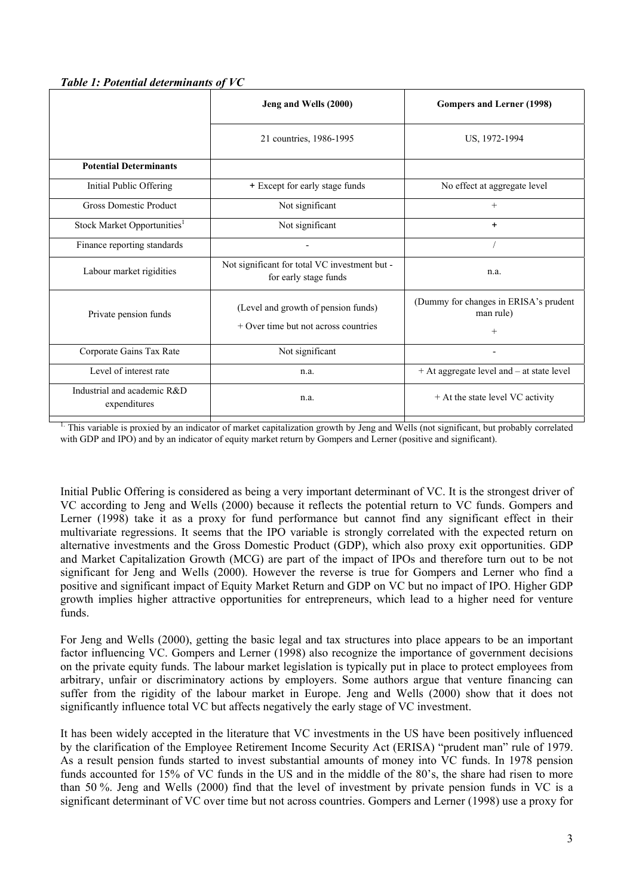#### *Table 1: Potential determinants of VC*

|                                             | Jeng and Wells (2000)                                                         | <b>Gompers and Lerner (1998)</b>                             |
|---------------------------------------------|-------------------------------------------------------------------------------|--------------------------------------------------------------|
|                                             | 21 countries, 1986-1995                                                       | US, 1972-1994                                                |
| <b>Potential Determinants</b>               |                                                                               |                                                              |
| Initial Public Offering                     | + Except for early stage funds                                                | No effect at aggregate level                                 |
| <b>Gross Domestic Product</b>               | Not significant                                                               | $+$                                                          |
| Stock Market Opportunities <sup>1</sup>     | Not significant                                                               | $\ddot{}$                                                    |
| Finance reporting standards                 |                                                                               |                                                              |
| Labour market rigidities                    | Not significant for total VC investment but -<br>for early stage funds        | n.a.                                                         |
| Private pension funds                       | (Level and growth of pension funds)<br>$+$ Over time but not across countries | (Dummy for changes in ERISA's prudent<br>man rule)<br>$^{+}$ |
| Corporate Gains Tax Rate                    | Not significant                                                               |                                                              |
| Level of interest rate                      | n.a.                                                                          | + At aggregate level and - at state level                    |
| Industrial and academic R&D<br>expenditures | n.a.                                                                          | + At the state level VC activity                             |
|                                             |                                                                               |                                                              |

1. This variable is proxied by an indicator of market capitalization growth by Jeng and Wells (not significant, but probably correlated with GDP and IPO) and by an indicator of equity market return by Gompers and Lerner (positive and significant).

Initial Public Offering is considered as being a very important determinant of VC. It is the strongest driver of VC according to Jeng and Wells (2000) because it reflects the potential return to VC funds. Gompers and Lerner (1998) take it as a proxy for fund performance but cannot find any significant effect in their multivariate regressions. It seems that the IPO variable is strongly correlated with the expected return on alternative investments and the Gross Domestic Product (GDP), which also proxy exit opportunities. GDP and Market Capitalization Growth (MCG) are part of the impact of IPOs and therefore turn out to be not significant for Jeng and Wells (2000). However the reverse is true for Gompers and Lerner who find a positive and significant impact of Equity Market Return and GDP on VC but no impact of IPO. Higher GDP growth implies higher attractive opportunities for entrepreneurs, which lead to a higher need for venture funds.

For Jeng and Wells (2000), getting the basic legal and tax structures into place appears to be an important factor influencing VC. Gompers and Lerner (1998) also recognize the importance of government decisions on the private equity funds. The labour market legislation is typically put in place to protect employees from arbitrary, unfair or discriminatory actions by employers. Some authors argue that venture financing can suffer from the rigidity of the labour market in Europe. Jeng and Wells (2000) show that it does not significantly influence total VC but affects negatively the early stage of VC investment.

It has been widely accepted in the literature that VC investments in the US have been positively influenced by the clarification of the Employee Retirement Income Security Act (ERISA) "prudent man" rule of 1979. As a result pension funds started to invest substantial amounts of money into VC funds. In 1978 pension funds accounted for 15% of VC funds in the US and in the middle of the 80's, the share had risen to more than 50 %. Jeng and Wells (2000) find that the level of investment by private pension funds in VC is a significant determinant of VC over time but not across countries. Gompers and Lerner (1998) use a proxy for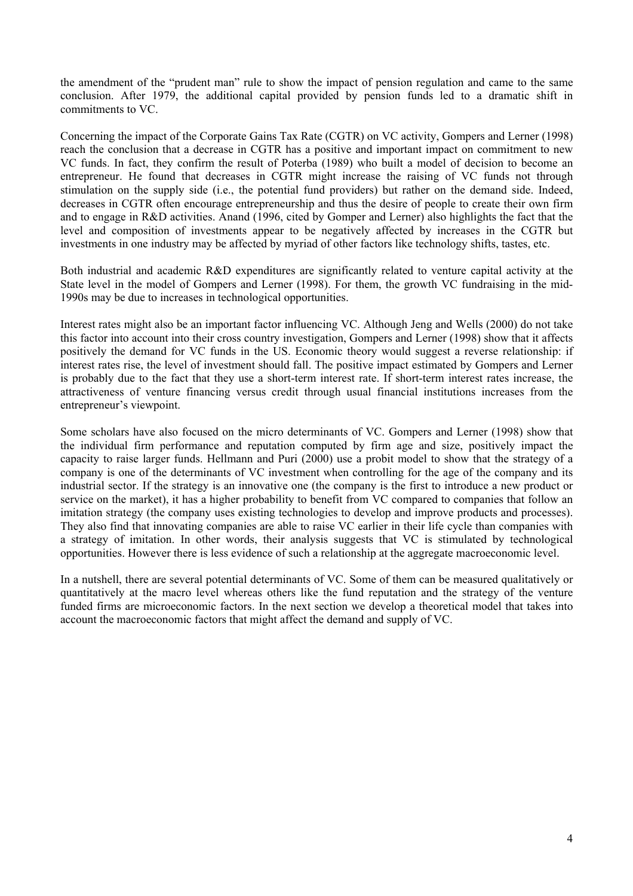the amendment of the "prudent man" rule to show the impact of pension regulation and came to the same conclusion. After 1979, the additional capital provided by pension funds led to a dramatic shift in commitments to VC.

Concerning the impact of the Corporate Gains Tax Rate (CGTR) on VC activity, Gompers and Lerner (1998) reach the conclusion that a decrease in CGTR has a positive and important impact on commitment to new VC funds. In fact, they confirm the result of Poterba (1989) who built a model of decision to become an entrepreneur. He found that decreases in CGTR might increase the raising of VC funds not through stimulation on the supply side (i.e., the potential fund providers) but rather on the demand side. Indeed, decreases in CGTR often encourage entrepreneurship and thus the desire of people to create their own firm and to engage in R&D activities. Anand (1996, cited by Gomper and Lerner) also highlights the fact that the level and composition of investments appear to be negatively affected by increases in the CGTR but investments in one industry may be affected by myriad of other factors like technology shifts, tastes, etc.

Both industrial and academic R&D expenditures are significantly related to venture capital activity at the State level in the model of Gompers and Lerner (1998). For them, the growth VC fundraising in the mid-1990s may be due to increases in technological opportunities.

Interest rates might also be an important factor influencing VC. Although Jeng and Wells (2000) do not take this factor into account into their cross country investigation, Gompers and Lerner (1998) show that it affects positively the demand for VC funds in the US. Economic theory would suggest a reverse relationship: if interest rates rise, the level of investment should fall. The positive impact estimated by Gompers and Lerner is probably due to the fact that they use a short-term interest rate. If short-term interest rates increase, the attractiveness of venture financing versus credit through usual financial institutions increases from the entrepreneur's viewpoint.

Some scholars have also focused on the micro determinants of VC. Gompers and Lerner (1998) show that the individual firm performance and reputation computed by firm age and size, positively impact the capacity to raise larger funds. Hellmann and Puri (2000) use a probit model to show that the strategy of a company is one of the determinants of VC investment when controlling for the age of the company and its industrial sector. If the strategy is an innovative one (the company is the first to introduce a new product or service on the market), it has a higher probability to benefit from VC compared to companies that follow an imitation strategy (the company uses existing technologies to develop and improve products and processes). They also find that innovating companies are able to raise VC earlier in their life cycle than companies with a strategy of imitation. In other words, their analysis suggests that VC is stimulated by technological opportunities. However there is less evidence of such a relationship at the aggregate macroeconomic level.

In a nutshell, there are several potential determinants of VC. Some of them can be measured qualitatively or quantitatively at the macro level whereas others like the fund reputation and the strategy of the venture funded firms are microeconomic factors. In the next section we develop a theoretical model that takes into account the macroeconomic factors that might affect the demand and supply of VC.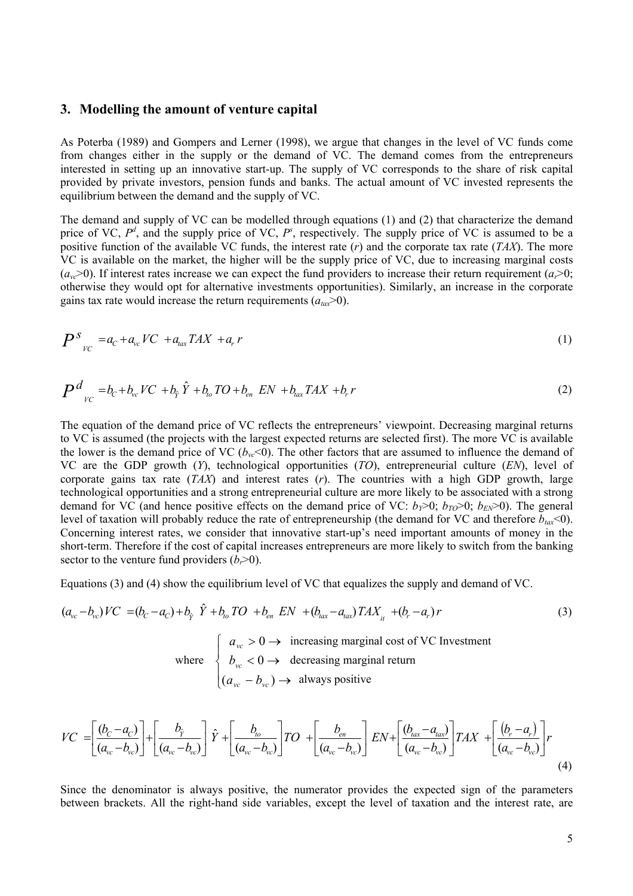#### **3. Modelling the amount of venture capital**

As Poterba (1989) and Gompers and Lerner (1998), we argue that changes in the level of VC funds come from changes either in the supply or the demand of VC. The demand comes from the entrepreneurs interested in setting up an innovative start-up. The supply of VC corresponds to the share of risk capital provided by private investors, pension funds and banks. The actual amount of VC invested represents the equilibrium between the demand and the supply of VC.

The demand and supply of VC can be modelled through equations (1) and (2) that characterize the demand price of VC,  $P^d$ , and the supply price of VC,  $P^s$ , respectively. The supply price of VC is assumed to be a positive function of the available VC funds, the interest rate (*r*) and the corporate tax rate (*TAX*). The more VC is available on the market, the higher will be the supply price of VC, due to increasing marginal costs  $(a<sub>vc</sub> > 0)$ . If interest rates increase we can expect the fund providers to increase their return requirement  $(a<sub>r</sub> > 0)$ ; otherwise they would opt for alternative investments opportunities). Similarly, an increase in the corporate gains tax rate would increase the return requirements  $(a<sub>tar</sub> > 0)$ .

$$
P^s_{\nu c} = a_c + a_{\nu c} V C + a_{\nu \alpha} T A X + a_r r \tag{1}
$$

$$
P^d_{\nu_C} = b_c + b_{\nu_c} V C + b_{\hat{Y}} \hat{Y} + b_{\nu_o} T O + b_{\nu_a} EN + b_{\nu_a} T A X + b_r r \tag{2}
$$

The equation of the demand price of VC reflects the entrepreneurs' viewpoint. Decreasing marginal returns to VC is assumed (the projects with the largest expected returns are selected first). The more VC is available the lower is the demand price of VC ( $b_{vc}$ <0). The other factors that are assumed to influence the demand of VC are the GDP growth (*Y*), technological opportunities (*TO*), entrepreneurial culture (*EN*), level of corporate gains tax rate (*TAX*) and interest rates (*r*). The countries with a high GDP growth, large technological opportunities and a strong entrepreneurial culture are more likely to be associated with a strong demand for VC (and hence positive effects on the demand price of VC:  $b_y > 0$ ;  $b_{TQ} > 0$ ;  $b_{EN} > 0$ ). The general level of taxation will probably reduce the rate of entrepreneurship (the demand for VC and therefore  $b_{\text{tar}}$ <0). Concerning interest rates, we consider that innovative start-up's need important amounts of money in the short-term. Therefore if the cost of capital increases entrepreneurs are more likely to switch from the banking sector to the venture fund providers  $(b, > 0)$ .

Equations (3) and (4) show the equilibrium level of VC that equalizes the supply and demand of VC.

$$
(a_{vc} - b_{vc})VC = (b_c - a_c) + b_{\hat{y}} \hat{Y} + b_{\omega} TO + b_{en} EN + (b_{tax} - a_{tax}) TAX_{it} + (b_r - a_r)r
$$
\n
$$
\begin{cases}\na_{vc} > 0 \implies \text{ increasing marginal cost of VC Investment} \\
b_{vc} < 0 \implies \text{ decreasing marginal return}\n\end{cases}
$$
\n
$$
(3)
$$

$$
(a_{vc} - b_{vc}) \rightarrow
$$
 always positive

$$
VC = \left[\frac{(b_c - a_c)}{(a_{vc} - b_{vc})}\right] + \left[\frac{b_{\hat{y}}}{(a_{vc} - b_{vc})}\right]\hat{Y} + \left[\frac{b_{to}}{(a_{vc} - b_{vc})}\right]TO + \left[\frac{b_{en}}{(a_{vc} - b_{vc})}\right]EN + \left[\frac{(b_{tax} - a_{tax})}{(a_{vc} - b_{vc})}\right]TAX + \left[\frac{(b_r - a_r)}{(a_{vc} - b_{vc})}\right]r
$$
\n(4)

Since the denominator is always positive, the numerator provides the expected sign of the parameters between brackets. All the right-hand side variables, except the level of taxation and the interest rate, are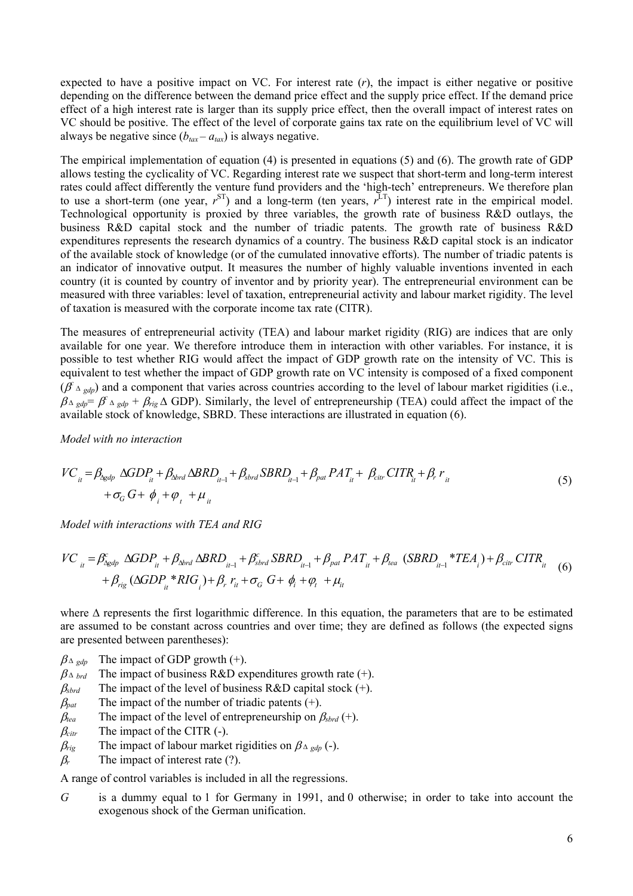expected to have a positive impact on VC. For interest rate (*r*), the impact is either negative or positive depending on the difference between the demand price effect and the supply price effect. If the demand price effect of a high interest rate is larger than its supply price effect, then the overall impact of interest rates on VC should be positive. The effect of the level of corporate gains tax rate on the equilibrium level of VC will always be negative since  $(b<sub>tar</sub> - a<sub>tar</sub>)$  is always negative.

The empirical implementation of equation (4) is presented in equations (5) and (6). The growth rate of GDP allows testing the cyclicality of VC. Regarding interest rate we suspect that short-term and long-term interest rates could affect differently the venture fund providers and the 'high-tech' entrepreneurs. We therefore plan to use a short-term (one year,  $r^{ST}$ ) and a long-term (ten years,  $r^{LT}$ ) interest rate in the empirical model. Technological opportunity is proxied by three variables, the growth rate of business R&D outlays, the business R&D capital stock and the number of triadic patents. The growth rate of business R&D expenditures represents the research dynamics of a country. The business R&D capital stock is an indicator of the available stock of knowledge (or of the cumulated innovative efforts). The number of triadic patents is an indicator of innovative output. It measures the number of highly valuable inventions invented in each country (it is counted by country of inventor and by priority year). The entrepreneurial environment can be measured with three variables: level of taxation, entrepreneurial activity and labour market rigidity. The level of taxation is measured with the corporate income tax rate (CITR).

The measures of entrepreneurial activity (TEA) and labour market rigidity (RIG) are indices that are only available for one year. We therefore introduce them in interaction with other variables. For instance, it is possible to test whether RIG would affect the impact of GDP growth rate on the intensity of VC. This is equivalent to test whether the impact of GDP growth rate on VC intensity is composed of a fixed component  $(f^2 \Delta_{\text{gdp}})$  and a component that varies across countries according to the level of labour market rigidities (i.e.,  $\beta_{\Delta gdp} = \beta^c \Delta_{gdp} + \beta_{rig} \Delta$  GDP). Similarly, the level of entrepreneurship (TEA) could affect the impact of the available stock of knowledge, SBRD. These interactions are illustrated in equation (6).

*Model with no interaction* 

$$
VC_{it} = \beta_{\text{Agdp}} \Delta GDP_{it} + \beta_{\text{Aord}} \Delta BRD_{it-1} + \beta_{\text{Sord}} SBRD_{it-1} + \beta_{\text{pat}} PAT_{it} + \beta_{\text{citr}} CITR_{it} + \beta_r r_{it}
$$
  
+  $\sigma_G G + \phi_i + \phi_t + \mu_{it}$  (5)

*Model with interactions with TEA and RIG* 

$$
VC_{it} = \beta_{\Delta t}^{c} \Delta GDP_{it} + \beta_{\Delta brd} \Delta BRD_{it-1} + \beta_{\Delta brd} SBRD_{it-1} + \beta_{pat} PAT_{it} + \beta_{tea} (SBRD_{it-1} * TEA_{i}) + \beta_{citr} CITR_{it} + \beta_{rig} (\Delta GDP_{it} * RIG_{i}) + \beta_{r} r_{it} + \sigma_{G} G + \phi_{i} + \phi_{t} + \mu_{it}
$$
 (5)

where  $\Delta$  represents the first logarithmic difference. In this equation, the parameters that are to be estimated are assumed to be constant across countries and over time; they are defined as follows (the expected signs are presented between parentheses):

 $\beta_{\Delta \text{ qd}p}$  The impact of GDP growth (+).

 $\beta_{\Delta}$  *brd* The impact of business R&D expenditures growth rate (+).

- $\beta_{\text{sbrd}}$  The impact of the level of business R&D capital stock  $(+)$ .
- $\beta_{\text{pat}}$  The impact of the number of triadic patents (+).
- $\beta_{\text{tea}}$  The impact of the level of entrepreneurship on  $\beta_{\text{sbrd}}$  (+).
- $\beta_{\text{cir}}$  The impact of the CITR (-).
- $\beta_{\text{rig}}$  The impact of labour market rigidities on  $\beta_{\Delta \text{ gdp}}$  (-).
- $\beta_r$  The impact of interest rate (?).

A range of control variables is included in all the regressions.

*G* is a dummy equal to 1 for Germany in 1991, and 0 otherwise; in order to take into account the exogenous shock of the German unification.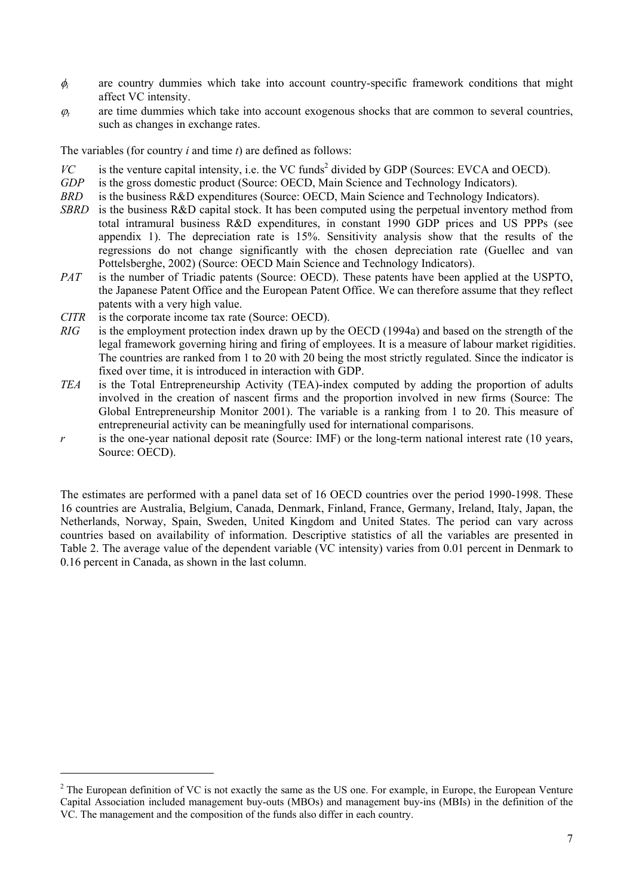- $\phi$  are country dummies which take into account country-specific framework conditions that might affect VC intensity.
- $\varphi_t$  are time dummies which take into account exogenous shocks that are common to several countries, such as changes in exchange rates.

The variables (for country *i* and time *t*) are defined as follows:

- $VC$  is the venture capital intensity, i.e. the VC funds<sup>2</sup> divided by GDP (Sources: EVCA and OECD).
- *GDP* is the gross domestic product (Source: OECD, Main Science and Technology Indicators).<br>*BRD* is the business R&D expenditures (Source: OECD, Main Science and Technology Indicators).
- is the business R&D expenditures (Source: OECD, Main Science and Technology Indicators).
- *SBRD* is the business R&D capital stock. It has been computed using the perpetual inventory method from total intramural business R&D expenditures, in constant 1990 GDP prices and US PPPs (see appendix 1). The depreciation rate is 15%. Sensitivity analysis show that the results of the regressions do not change significantly with the chosen depreciation rate (Guellec and van Pottelsberghe, 2002) (Source: OECD Main Science and Technology Indicators).
- *PAT* is the number of Triadic patents (Source: OECD). These patents have been applied at the USPTO, the Japanese Patent Office and the European Patent Office. We can therefore assume that they reflect patents with a very high value.
- *CITR* is the corporate income tax rate (Source: OECD).

l

- *RIG* is the employment protection index drawn up by the OECD (1994a) and based on the strength of the legal framework governing hiring and firing of employees. It is a measure of labour market rigidities. The countries are ranked from 1 to 20 with 20 being the most strictly regulated. Since the indicator is fixed over time, it is introduced in interaction with GDP.
- *TEA* is the Total Entrepreneurship Activity (TEA)-index computed by adding the proportion of adults involved in the creation of nascent firms and the proportion involved in new firms (Source: The Global Entrepreneurship Monitor 2001). The variable is a ranking from 1 to 20. This measure of entrepreneurial activity can be meaningfully used for international comparisons.
- *r* is the one-year national deposit rate (Source: IMF) or the long-term national interest rate (10 years, Source: OECD).

The estimates are performed with a panel data set of 16 OECD countries over the period 1990-1998. These 16 countries are Australia, Belgium, Canada, Denmark, Finland, France, Germany, Ireland, Italy, Japan, the Netherlands, Norway, Spain, Sweden, United Kingdom and United States. The period can vary across countries based on availability of information. Descriptive statistics of all the variables are presented in Table 2. The average value of the dependent variable (VC intensity) varies from 0.01 percent in Denmark to 0.16 percent in Canada, as shown in the last column.

 $2^2$  The European definition of VC is not exactly the same as the US one. For example, in Europe, the European Venture Capital Association included management buy-outs (MBOs) and management buy-ins (MBIs) in the definition of the VC. The management and the composition of the funds also differ in each country.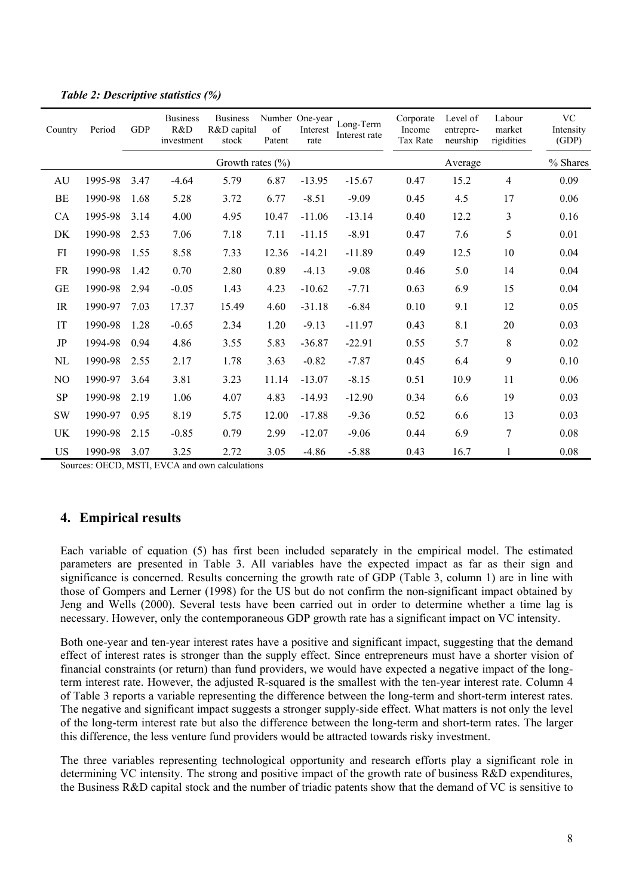| Country        | Period  | <b>GDP</b> | <b>Business</b><br>R&D<br>investment | <b>Business</b><br>R&D capital<br>stock | of<br>Patent | Number One-year<br>Interest<br>rate | Long-Term<br>Interest rate | Corporate<br>Income<br>Tax Rate | Level of<br>entrepre-<br>neurship | Labour<br>market<br>rigidities | <b>VC</b><br>Intensity<br>(GDP) |
|----------------|---------|------------|--------------------------------------|-----------------------------------------|--------------|-------------------------------------|----------------------------|---------------------------------|-----------------------------------|--------------------------------|---------------------------------|
|                |         |            |                                      | Growth rates $(\% )$                    |              |                                     |                            |                                 | Average                           |                                | % Shares                        |
| AU             | 1995-98 | 3.47       | $-4.64$                              | 5.79                                    | 6.87         | $-13.95$                            | $-15.67$                   | 0.47                            | 15.2                              | 4                              | 0.09                            |
| BE             | 1990-98 | 1.68       | 5.28                                 | 3.72                                    | 6.77         | $-8.51$                             | $-9.09$                    | 0.45                            | 4.5                               | 17                             | 0.06                            |
| <b>CA</b>      | 1995-98 | 3.14       | 4.00                                 | 4.95                                    | 10.47        | $-11.06$                            | $-13.14$                   | 0.40                            | 12.2                              | 3                              | 0.16                            |
| DK             | 1990-98 | 2.53       | 7.06                                 | 7.18                                    | 7.11         | $-11.15$                            | $-8.91$                    | 0.47                            | 7.6                               | 5                              | 0.01                            |
| FI             | 1990-98 | 1.55       | 8.58                                 | 7.33                                    | 12.36        | $-14.21$                            | $-11.89$                   | 0.49                            | 12.5                              | 10                             | 0.04                            |
| <b>FR</b>      | 1990-98 | 1.42       | 0.70                                 | 2.80                                    | 0.89         | $-4.13$                             | $-9.08$                    | 0.46                            | 5.0                               | 14                             | 0.04                            |
| <b>GE</b>      | 1990-98 | 2.94       | $-0.05$                              | 1.43                                    | 4.23         | $-10.62$                            | $-7.71$                    | 0.63                            | 6.9                               | 15                             | 0.04                            |
| IR             | 1990-97 | 7.03       | 17.37                                | 15.49                                   | 4.60         | $-31.18$                            | $-6.84$                    | 0.10                            | 9.1                               | 12                             | 0.05                            |
| IT             | 1990-98 | 1.28       | $-0.65$                              | 2.34                                    | 1.20         | $-9.13$                             | $-11.97$                   | 0.43                            | 8.1                               | 20                             | 0.03                            |
| JP             | 1994-98 | 0.94       | 4.86                                 | 3.55                                    | 5.83         | $-36.87$                            | $-22.91$                   | 0.55                            | 5.7                               | 8                              | 0.02                            |
| NL             | 1990-98 | 2.55       | 2.17                                 | 1.78                                    | 3.63         | $-0.82$                             | $-7.87$                    | 0.45                            | 6.4                               | 9                              | 0.10                            |
| N <sub>O</sub> | 1990-97 | 3.64       | 3.81                                 | 3.23                                    | 11.14        | $-13.07$                            | $-8.15$                    | 0.51                            | 10.9                              | 11                             | 0.06                            |
| <b>SP</b>      | 1990-98 | 2.19       | 1.06                                 | 4.07                                    | 4.83         | $-14.93$                            | $-12.90$                   | 0.34                            | 6.6                               | 19                             | 0.03                            |
| <b>SW</b>      | 1990-97 | 0.95       | 8.19                                 | 5.75                                    | 12.00        | $-17.88$                            | $-9.36$                    | 0.52                            | 6.6                               | 13                             | 0.03                            |
| <b>UK</b>      | 1990-98 | 2.15       | $-0.85$                              | 0.79                                    | 2.99         | $-12.07$                            | $-9.06$                    | 0.44                            | 6.9                               | $\overline{7}$                 | 0.08                            |
| <b>US</b>      | 1990-98 | 3.07       | 3.25                                 | 2.72                                    | 3.05         | $-4.86$                             | $-5.88$                    | 0.43                            | 16.7                              |                                | 0.08                            |

*Table 2: Descriptive statistics (%)* 

Sources: OECD, MSTI, EVCA and own calculations

# **4. Empirical results**

Each variable of equation (5) has first been included separately in the empirical model. The estimated parameters are presented in Table 3. All variables have the expected impact as far as their sign and significance is concerned. Results concerning the growth rate of GDP (Table 3, column 1) are in line with those of Gompers and Lerner (1998) for the US but do not confirm the non-significant impact obtained by Jeng and Wells (2000). Several tests have been carried out in order to determine whether a time lag is necessary. However, only the contemporaneous GDP growth rate has a significant impact on VC intensity.

Both one-year and ten-year interest rates have a positive and significant impact, suggesting that the demand effect of interest rates is stronger than the supply effect. Since entrepreneurs must have a shorter vision of financial constraints (or return) than fund providers, we would have expected a negative impact of the longterm interest rate. However, the adjusted R-squared is the smallest with the ten-year interest rate. Column 4 of Table 3 reports a variable representing the difference between the long-term and short-term interest rates. The negative and significant impact suggests a stronger supply-side effect. What matters is not only the level of the long-term interest rate but also the difference between the long-term and short-term rates. The larger this difference, the less venture fund providers would be attracted towards risky investment.

The three variables representing technological opportunity and research efforts play a significant role in determining VC intensity. The strong and positive impact of the growth rate of business R&D expenditures, the Business R&D capital stock and the number of triadic patents show that the demand of VC is sensitive to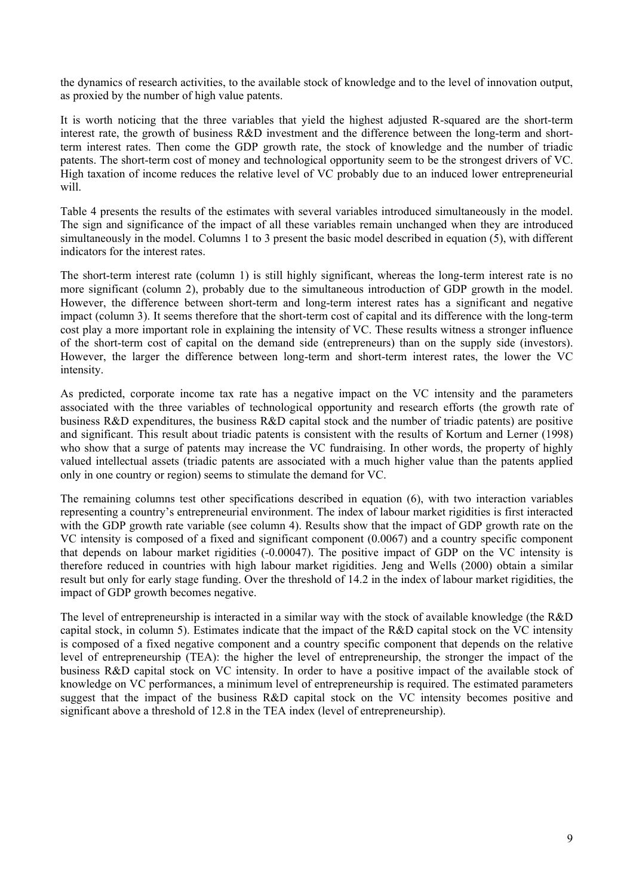the dynamics of research activities, to the available stock of knowledge and to the level of innovation output, as proxied by the number of high value patents.

It is worth noticing that the three variables that yield the highest adjusted R-squared are the short-term interest rate, the growth of business R&D investment and the difference between the long-term and shortterm interest rates. Then come the GDP growth rate, the stock of knowledge and the number of triadic patents. The short-term cost of money and technological opportunity seem to be the strongest drivers of VC. High taxation of income reduces the relative level of VC probably due to an induced lower entrepreneurial will

Table 4 presents the results of the estimates with several variables introduced simultaneously in the model. The sign and significance of the impact of all these variables remain unchanged when they are introduced simultaneously in the model. Columns 1 to 3 present the basic model described in equation (5), with different indicators for the interest rates.

The short-term interest rate (column 1) is still highly significant, whereas the long-term interest rate is no more significant (column 2), probably due to the simultaneous introduction of GDP growth in the model. However, the difference between short-term and long-term interest rates has a significant and negative impact (column 3). It seems therefore that the short-term cost of capital and its difference with the long-term cost play a more important role in explaining the intensity of VC. These results witness a stronger influence of the short-term cost of capital on the demand side (entrepreneurs) than on the supply side (investors). However, the larger the difference between long-term and short-term interest rates, the lower the VC intensity.

As predicted, corporate income tax rate has a negative impact on the VC intensity and the parameters associated with the three variables of technological opportunity and research efforts (the growth rate of business R&D expenditures, the business R&D capital stock and the number of triadic patents) are positive and significant. This result about triadic patents is consistent with the results of Kortum and Lerner (1998) who show that a surge of patents may increase the VC fundraising. In other words, the property of highly valued intellectual assets (triadic patents are associated with a much higher value than the patents applied only in one country or region) seems to stimulate the demand for VC.

The remaining columns test other specifications described in equation (6), with two interaction variables representing a country's entrepreneurial environment. The index of labour market rigidities is first interacted with the GDP growth rate variable (see column 4). Results show that the impact of GDP growth rate on the VC intensity is composed of a fixed and significant component (0.0067) and a country specific component that depends on labour market rigidities (-0.00047). The positive impact of GDP on the VC intensity is therefore reduced in countries with high labour market rigidities. Jeng and Wells (2000) obtain a similar result but only for early stage funding. Over the threshold of 14.2 in the index of labour market rigidities, the impact of GDP growth becomes negative.

The level of entrepreneurship is interacted in a similar way with the stock of available knowledge (the R&D capital stock, in column 5). Estimates indicate that the impact of the R&D capital stock on the VC intensity is composed of a fixed negative component and a country specific component that depends on the relative level of entrepreneurship (TEA): the higher the level of entrepreneurship, the stronger the impact of the business R&D capital stock on VC intensity. In order to have a positive impact of the available stock of knowledge on VC performances, a minimum level of entrepreneurship is required. The estimated parameters suggest that the impact of the business R&D capital stock on the VC intensity becomes positive and significant above a threshold of 12.8 in the TEA index (level of entrepreneurship).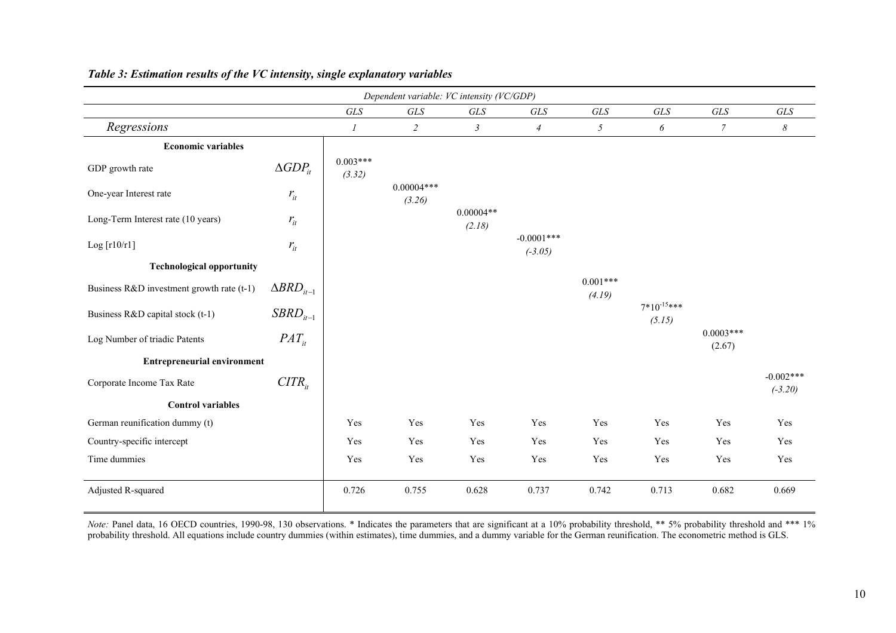|                                           | Dependent variable: VC intensity (VC/GDP) |                      |                        |                       |                           |                      |                           |                       |                          |
|-------------------------------------------|-------------------------------------------|----------------------|------------------------|-----------------------|---------------------------|----------------------|---------------------------|-----------------------|--------------------------|
|                                           |                                           | GLS                  | GLS                    | $GLS$                 | $GLS$                     | $GLS$                | GLS                       | GLS                   | $GLS$                    |
| Regressions                               |                                           | $\boldsymbol{l}$     | $\overline{c}$         | $\mathfrak{Z}$        | $\overline{4}$            | 5                    | $\boldsymbol{\delta}$     | $\overline{7}$        | $\boldsymbol{\delta}$    |
| <b>Economic variables</b>                 |                                           |                      |                        |                       |                           |                      |                           |                       |                          |
| GDP growth rate                           | $\triangle GDP_{it}$                      | $0.003***$<br>(3.32) |                        |                       |                           |                      |                           |                       |                          |
| One-year Interest rate                    | $r_{it}$                                  |                      | $0.00004***$<br>(3.26) |                       |                           |                      |                           |                       |                          |
| Long-Term Interest rate (10 years)        | $r_{it}$                                  |                      |                        | $0.00004**$<br>(2.18) |                           |                      |                           |                       |                          |
| Log $[r10/r1]$                            | $r_{it}$                                  |                      |                        |                       | $-0.0001***$<br>$(-3.05)$ |                      |                           |                       |                          |
| <b>Technological opportunity</b>          |                                           |                      |                        |                       |                           |                      |                           |                       |                          |
| Business R&D investment growth rate (t-1) | $\Delta BRD_{it-1}$                       |                      |                        |                       |                           | $0.001***$<br>(4.19) |                           |                       |                          |
| Business R&D capital stock (t-1)          | $SBRD_{it-1}$                             |                      |                        |                       |                           |                      | $7*10^{-15***}$<br>(5.15) |                       |                          |
| Log Number of triadic Patents             | $PAT_{it}$                                |                      |                        |                       |                           |                      |                           | $0.0003***$<br>(2.67) |                          |
| <b>Entrepreneurial environment</b>        |                                           |                      |                        |                       |                           |                      |                           |                       |                          |
| Corporate Income Tax Rate                 | $CITR_{it}$                               |                      |                        |                       |                           |                      |                           |                       | $-0.002***$<br>$(-3.20)$ |
| <b>Control variables</b>                  |                                           |                      |                        |                       |                           |                      |                           |                       |                          |
| German reunification dummy (t)            |                                           | Yes                  | Yes                    | Yes                   | Yes                       | Yes                  | Yes                       | Yes                   | Yes                      |
| Country-specific intercept                |                                           | Yes                  | Yes                    | Yes                   | Yes                       | Yes                  | Yes                       | Yes                   | Yes                      |
| Time dummies                              |                                           | Yes                  | Yes                    | Yes                   | Yes                       | Yes                  | Yes                       | Yes                   | Yes                      |
| Adjusted R-squared                        |                                           | 0.726                | 0.755                  | 0.628                 | 0.737                     | 0.742                | 0.713                     | 0.682                 | 0.669                    |

## *Table 3: Estimation results of the VC intensity, single explanatory variables*

*Note:* Panel data, 16 OECD countries, 1990-98, 130 observations. \* Indicates the parameters that are significant at a 10% probability threshold, \*\* 5% probability threshold and \*\*\* 1% probability threshold. All equations include country dummies (within estimates), time dummies, and a dummy variable for the German reunification. The econometric method is GLS.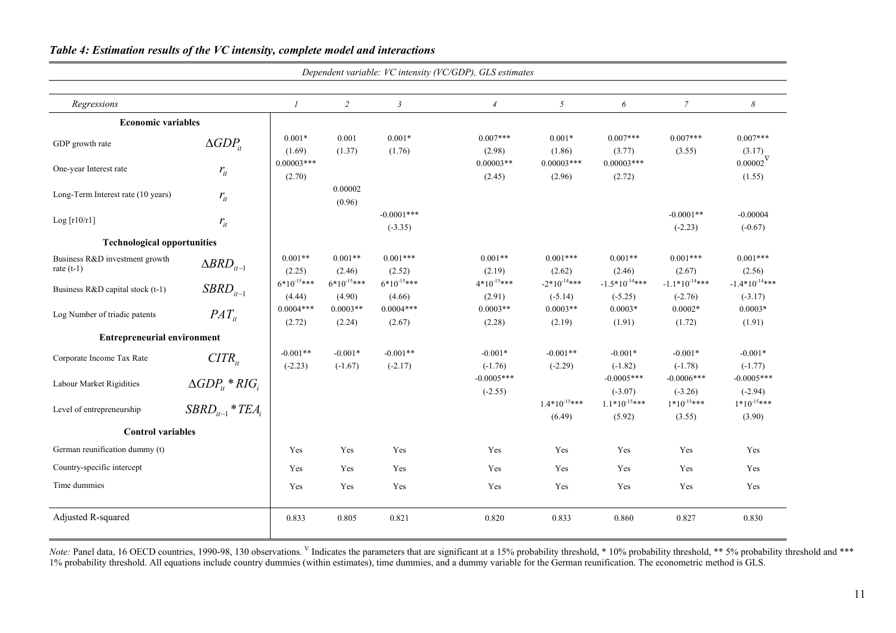|                                                |                                |                           |                           |                            | Dependent variable: VC intensity (VC/GDP), GLS estimates |                               |                                 |                                 |                                 |
|------------------------------------------------|--------------------------------|---------------------------|---------------------------|----------------------------|----------------------------------------------------------|-------------------------------|---------------------------------|---------------------------------|---------------------------------|
| Regressions                                    |                                | $\mathcal{I}$             | $\overline{2}$            | $\mathfrak{Z}$             | $\overline{4}$                                           | 5                             | 6                               | $\mathcal{I}$                   | 8                               |
| <b>Economic variables</b>                      |                                |                           |                           |                            |                                                          |                               |                                 |                                 |                                 |
| GDP growth rate                                | $\Delta GDP_{it}$              | $0.001*$<br>(1.69)        | 0.001<br>(1.37)           | $0.001*$<br>(1.76)         | $0.007***$<br>(2.98)                                     | $0.001*$<br>(1.86)            | $0.007***$<br>(3.77)            | $0.007***$<br>(3.55)            | $0.007***$<br>(3.17)            |
| One-year Interest rate                         | $r_{it}$                       | $0.00003***$<br>(2.70)    |                           |                            | $0.00003**$<br>(2.45)                                    | $0.00003$ ***<br>(2.96)       | $0.00003***$<br>(2.72)          |                                 | $0.00002^\nabla$<br>(1.55)      |
| Long-Term Interest rate (10 years)             | $r_{it}$                       |                           | 0.00002<br>(0.96)         |                            |                                                          |                               |                                 |                                 |                                 |
| Log[r10/r1]                                    | $r_{it}$                       |                           |                           | $-0.0001$ ***<br>$(-3.35)$ |                                                          |                               |                                 | $-0.0001**$<br>$(-2.23)$        | $-0.00004$<br>$(-0.67)$         |
| <b>Technological opportunities</b>             |                                |                           |                           |                            |                                                          |                               |                                 |                                 |                                 |
| Business R&D investment growth<br>rate $(t-1)$ | $\triangle BRD_{it-1}$         | $0.001**$<br>(2.25)       | $0.001**$<br>(2.46)       | $0.001***$<br>(2.52)       | $0.001**$<br>(2.19)                                      | $0.001***$<br>(2.62)          | $0.001**$<br>(2.46)             | $0.001***$<br>(2.67)            | $0.001***$<br>(2.56)            |
| Business R&D capital stock (t-1)               | $SBRD_{it-1}$                  | $6*10^{-15***}$<br>(4.44) | $6*10^{-15***}$<br>(4.90) | $6*10^{-15***}$<br>(4.66)  | $4*10^{-15***}$<br>(2.91)                                | $-2*10^{-14***}$<br>$(-5.14)$ | $-1.5*10^{-14***}$<br>$(-5.25)$ | $-1.1*10^{-14***}$<br>$(-2.76)$ | $-1.4*10^{-14***}$<br>$(-3.17)$ |
| Log Number of triadic patents                  | $PAT_{it}$                     | $0.0004***$<br>(2.72)     | $0.0003**$<br>(2.24)      | $0.0004***$<br>(2.67)      | $0.0003**$<br>(2.28)                                     | $0.0003**$<br>(2.19)          | $0.0003*$<br>(1.91)             | $0.0002*$<br>(1.72)             | $0.0003*$<br>(1.91)             |
| <b>Entrepreneurial environment</b>             |                                |                           |                           |                            |                                                          |                               |                                 |                                 |                                 |
| Corporate Income Tax Rate                      | $CITR_{it}$                    | $-0.001**$<br>$(-2.23)$   | $-0.001*$<br>$(-1.67)$    | $-0.001**$<br>$(-2.17)$    | $-0.001*$<br>$(-1.76)$                                   | $-0.001**$<br>$(-2.29)$       | $-0.001*$<br>$(-1.82)$          | $-0.001*$<br>$(-1.78)$          | $-0.001*$<br>$(-1.77)$          |
| Labour Market Rigidities                       | $\triangle GDP_{it} * RIG_{i}$ |                           |                           |                            | $-0.0005***$<br>$(-2.55)$                                |                               | $-0.0005***$<br>$(-3.07)$       | $-0.0006***$<br>$(-3.26)$       | $-0.0005***$<br>$(-2.94)$       |
| Level of entrepreneurship                      | $SBRD_{it-1} * TEA_i$          |                           |                           |                            |                                                          | $1.4*10^{-15***}$<br>(6.49)   | $1.1*10^{-15***}$<br>(5.92)     | $1*10^{-15***}$<br>(3.55)       | $1*10^{-15***}$<br>(3.90)       |
| <b>Control variables</b>                       |                                |                           |                           |                            |                                                          |                               |                                 |                                 |                                 |
| German reunification dummy (t)                 |                                | Yes                       | Yes                       | Yes                        | Yes                                                      | Yes                           | Yes                             | Yes                             | Yes                             |
| Country-specific intercept                     |                                | Yes                       | Yes                       | Yes                        | Yes                                                      | Yes                           | Yes                             | Yes                             | Yes                             |
| Time dummies                                   |                                | Yes                       | Yes                       | Yes                        | Yes                                                      | Yes                           | Yes                             | Yes                             | Yes                             |
| Adjusted R-squared                             |                                | 0.833                     | 0.805                     | 0.821                      | 0.820                                                    | 0.833                         | 0.860                           | 0.827                           | 0.830                           |

## *Table 4: Estimation results of the VC intensity, complete model and interactions*

*Note:* Panel data, 16 OECD countries, 1990-98, 130 observations. <sup>V</sup> Indicates the parameters that are significant at a 15% probability threshold, \*10% probability threshold, \*\* 5% probability threshold and \*\*\* 1% probability threshold. All equations include country dummies (within estimates), time dummies, and a dummy variable for the German reunification. The econometric method is GLS.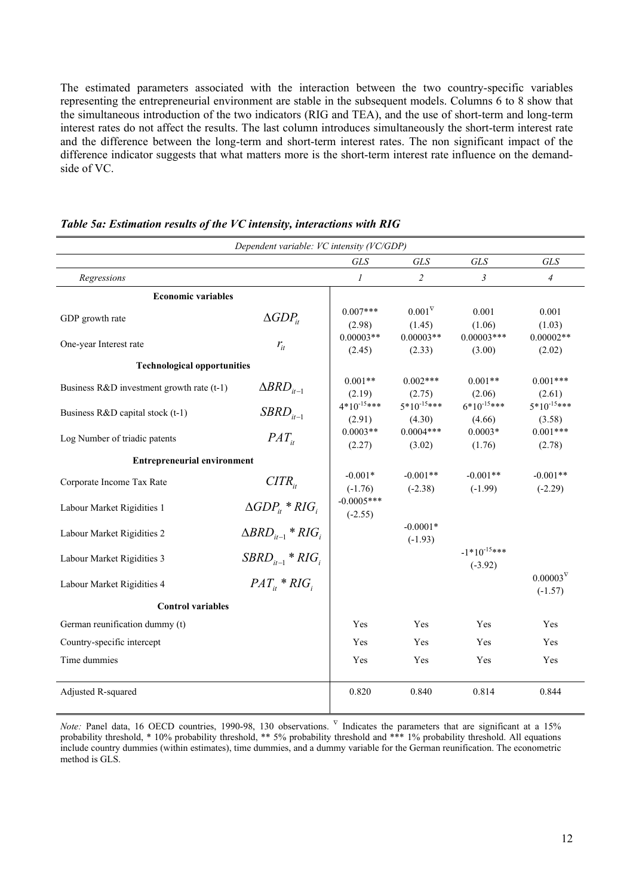The estimated parameters associated with the interaction between the two country-specific variables representing the entrepreneurial environment are stable in the subsequent models. Columns 6 to 8 show that the simultaneous introduction of the two indicators (RIG and TEA), and the use of short-term and long-term interest rates do not affect the results. The last column introduces simultaneously the short-term interest rate and the difference between the long-term and short-term interest rates. The non significant impact of the difference indicator suggests that what matters more is the short-term interest rate influence on the demandside of VC.

| Dependent variable: VC intensity (VC/GDP) |                                |                           |                            |                               |                                 |  |
|-------------------------------------------|--------------------------------|---------------------------|----------------------------|-------------------------------|---------------------------------|--|
|                                           |                                | <b>GLS</b>                | <b>GLS</b>                 | <b>GLS</b>                    | <b>GLS</b>                      |  |
| Regressions                               |                                | $\mathcal{I}$             | $\overline{2}$             | $\mathfrak{Z}$                | $\overline{4}$                  |  |
| <b>Economic variables</b>                 |                                |                           |                            |                               |                                 |  |
| GDP growth rate                           | $\triangle GDP_{it}$           | $0.007***$<br>(2.98)      | $0.001^{\nabla}$<br>(1.45) | 0.001<br>(1.06)               | 0.001<br>(1.03)                 |  |
| One-year Interest rate                    | $r_{it}$                       | $0.00003**$<br>(2.45)     | $0.00003**$<br>(2.33)      | $0.00003***$<br>(3.00)        | $0.00002**$<br>(2.02)           |  |
| <b>Technological opportunities</b>        |                                |                           |                            |                               |                                 |  |
| Business R&D investment growth rate (t-1) | $\triangle BRD_{i_{t-1}}$      | $0.001**$<br>(2.19)       | $0.002***$<br>(2.75)       | $0.001**$<br>(2.06)           | $0.001***$<br>(2.61)            |  |
| Business R&D capital stock (t-1)          | $SBRD_{it-1}$                  | $4*10^{-15***}$<br>(2.91) | $5*10^{-15***}$<br>(4.30)  | $6*10^{-15***}$<br>(4.66)     | $5*10^{-15***}$<br>(3.58)       |  |
| Log Number of triadic patents             | $PAT_{it}$                     | $0.0003**$<br>(2.27)      | $0.0004***$<br>(3.02)      | $0.0003*$<br>(1.76)           | $0.001***$<br>(2.78)            |  |
| <b>Entrepreneurial environment</b>        |                                |                           |                            |                               |                                 |  |
| Corporate Income Tax Rate                 | $CITR_{ii}$                    | $-0.001*$<br>$(-1.76)$    | $-0.001**$<br>$(-2.38)$    | $-0.001**$<br>$(-1.99)$       | $-0.001**$<br>$(-2.29)$         |  |
| Labour Market Rigidities 1                | $\triangle GDP_{ii} * RIG_{i}$ | $-0.0005***$<br>$(-2.55)$ |                            |                               |                                 |  |
| Labour Market Rigidities 2                | $\triangle BRD_{i-1} * RIG_i$  |                           | $-0.0001*$<br>$(-1.93)$    |                               |                                 |  |
| Labour Market Rigidities 3                | $SBRD_{i-1} * RIG_i$           |                           |                            | $-1*10^{-15***}$<br>$(-3.92)$ |                                 |  |
| Labour Market Rigidities 4                | $PAT_{ii} * RIG_{i}$           |                           |                            |                               | $0.00003^{\nabla}$<br>$(-1.57)$ |  |
| <b>Control variables</b>                  |                                |                           |                            |                               |                                 |  |
| German reunification dummy (t)            |                                | Yes                       | Yes                        | Yes                           | Yes                             |  |
| Country-specific intercept                |                                | Yes                       | Yes                        | Yes                           | Yes                             |  |
| Time dummies                              |                                | Yes                       | Yes                        | Yes                           | Yes                             |  |
| Adjusted R-squared                        |                                | 0.820                     | 0.840                      | 0.814                         | 0.844                           |  |

#### *Table 5a: Estimation results of the VC intensity, interactions with RIG*

*Note:* Panel data, 16 OECD countries, 1990-98, 130 observations. <sup>V</sup> Indicates the parameters that are significant at a 15% probability threshold, \* 10% probability threshold, \*\* 5% probability threshold and \*\*\* 1% probability threshold. All equations include country dummies (within estimates), time dummies, and a dummy variable for the German reunification. The econometric method is GLS.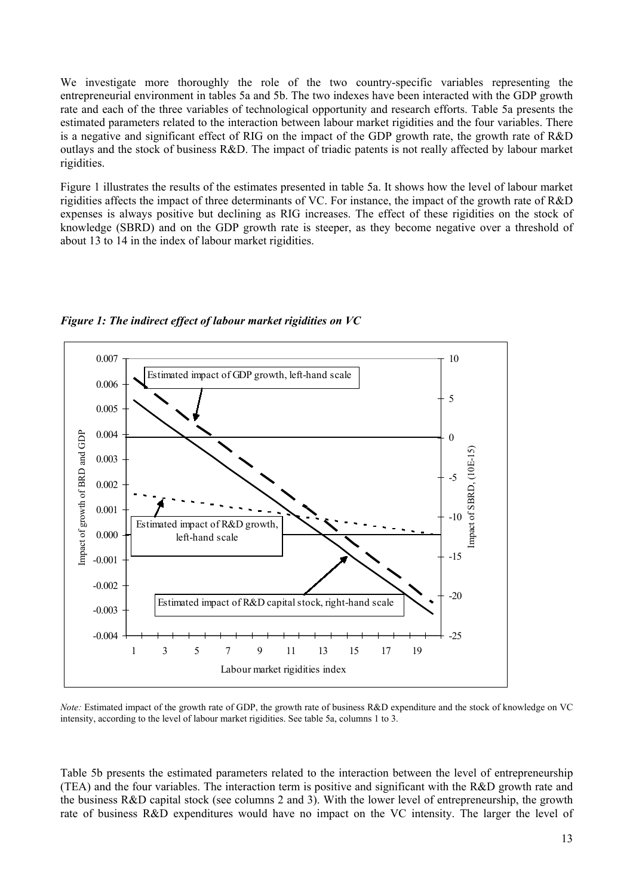We investigate more thoroughly the role of the two country-specific variables representing the entrepreneurial environment in tables 5a and 5b. The two indexes have been interacted with the GDP growth rate and each of the three variables of technological opportunity and research efforts. Table 5a presents the estimated parameters related to the interaction between labour market rigidities and the four variables. There is a negative and significant effect of RIG on the impact of the GDP growth rate, the growth rate of R&D outlays and the stock of business R&D. The impact of triadic patents is not really affected by labour market rigidities.

Figure 1 illustrates the results of the estimates presented in table 5a. It shows how the level of labour market rigidities affects the impact of three determinants of VC. For instance, the impact of the growth rate of R&D expenses is always positive but declining as RIG increases. The effect of these rigidities on the stock of knowledge (SBRD) and on the GDP growth rate is steeper, as they become negative over a threshold of about 13 to 14 in the index of labour market rigidities.



*Figure 1: The indirect effect of labour market rigidities on VC* 

*Note:* Estimated impact of the growth rate of GDP, the growth rate of business R&D expenditure and the stock of knowledge on VC intensity, according to the level of labour market rigidities. See table 5a, columns 1 to 3.

Table 5b presents the estimated parameters related to the interaction between the level of entrepreneurship (TEA) and the four variables. The interaction term is positive and significant with the R&D growth rate and the business R&D capital stock (see columns 2 and 3). With the lower level of entrepreneurship, the growth rate of business R&D expenditures would have no impact on the VC intensity. The larger the level of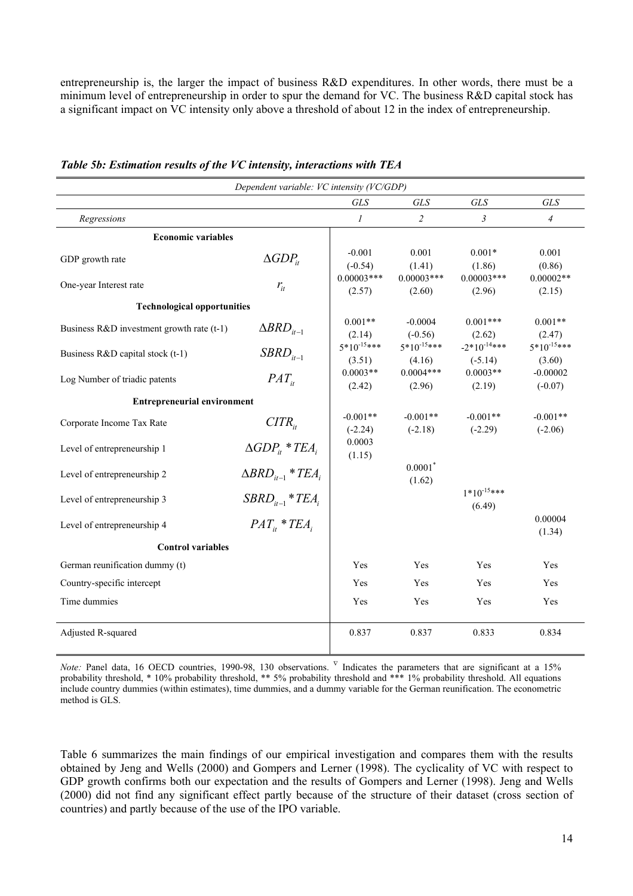entrepreneurship is, the larger the impact of business R&D expenditures. In other words, there must be a minimum level of entrepreneurship in order to spur the demand for VC. The business R&D capital stock has a significant impact on VC intensity only above a threshold of about 12 in the index of entrepreneurship.

| Dependent variable: VC intensity (VC/GDP) |                                |                           |                           |                               |                           |  |  |
|-------------------------------------------|--------------------------------|---------------------------|---------------------------|-------------------------------|---------------------------|--|--|
|                                           |                                | <b>GLS</b>                | <b>GLS</b>                | <b>GLS</b>                    | <b>GLS</b>                |  |  |
| Regressions                               |                                | $\mathcal{I}$             | $\overline{2}$            | $\mathfrak{z}$                | $\overline{4}$            |  |  |
| <b>Economic variables</b>                 |                                |                           |                           |                               |                           |  |  |
| GDP growth rate                           | $\triangle GDP_{it}$           | $-0.001$<br>$(-0.54)$     | 0.001<br>(1.41)           | $0.001*$<br>(1.86)            | 0.001<br>(0.86)           |  |  |
| One-year Interest rate                    | $r_{it}$                       | $0.00003***$<br>(2.57)    | $0.00003***$<br>(2.60)    | $0.00003***$<br>(2.96)        | $0.00002**$<br>(2.15)     |  |  |
| <b>Technological opportunities</b>        |                                |                           |                           |                               |                           |  |  |
| Business R&D investment growth rate (t-1) | $\triangle BRD_{it-1}$         | $0.001**$<br>(2.14)       | $-0.0004$<br>$(-0.56)$    | $0.001***$<br>(2.62)          | $0.001**$<br>(2.47)       |  |  |
| Business R&D capital stock (t-1)          | $SBRD_{i-1}$                   | $5*10^{-15***}$<br>(3.51) | $5*10^{-15***}$<br>(4.16) | $-2*10^{-14***}$<br>$(-5.14)$ | $5*10^{-15***}$<br>(3.60) |  |  |
| Log Number of triadic patents             | $PAT_{ii}$                     | $0.0003**$<br>(2.42)      | $0.0004***$<br>(2.96)     | $0.0003**$<br>(2.19)          | $-0.00002$<br>$(-0.07)$   |  |  |
| <b>Entrepreneurial environment</b>        |                                |                           |                           |                               |                           |  |  |
| Corporate Income Tax Rate                 | $CITR_{ii}$                    | $-0.001**$<br>$(-2.24)$   | $-0.001**$<br>$(-2.18)$   | $-0.001**$<br>$(-2.29)$       | $-0.001**$<br>$(-2.06)$   |  |  |
| Level of entrepreneurship 1               | $\triangle GDP_{ii} * TEA_{i}$ | 0.0003<br>(1.15)          |                           |                               |                           |  |  |
| Level of entrepreneurship 2               | $\triangle BRD_{i-1} * TEA_i$  |                           | 0.0001<br>(1.62)          |                               |                           |  |  |
| Level of entrepreneurship 3               | $SBRD_{i-1} * TEA_i$           |                           |                           | $1*10^{-15***}$<br>(6.49)     |                           |  |  |
| Level of entrepreneurship 4               | $PAT_{ii}$ * TEA               |                           |                           |                               | 0.00004<br>(1.34)         |  |  |
| <b>Control variables</b>                  |                                |                           |                           |                               |                           |  |  |
| German reunification dummy (t)            |                                | Yes                       | <b>Yes</b>                | Yes                           | <b>Yes</b>                |  |  |
| Country-specific intercept                |                                | Yes                       | Yes                       | Yes                           | Yes                       |  |  |
| Time dummies                              |                                | Yes                       | Yes                       | Yes                           | Yes                       |  |  |
| Adjusted R-squared                        |                                | 0.837                     | 0.837                     | 0.833                         | 0.834                     |  |  |

*Table 5b: Estimation results of the VC intensity, interactions with TEA* 

*Note:* Panel data, 16 OECD countries, 1990-98, 130 observations. <sup>V</sup> Indicates the parameters that are significant at a 15% probability threshold, \* 10% probability threshold, \*\* 5% probability threshold and \*\*\* 1% probability threshold. All equations include country dummies (within estimates), time dummies, and a dummy variable for the German reunification. The econometric method is GLS.

Table 6 summarizes the main findings of our empirical investigation and compares them with the results obtained by Jeng and Wells (2000) and Gompers and Lerner (1998). The cyclicality of VC with respect to GDP growth confirms both our expectation and the results of Gompers and Lerner (1998). Jeng and Wells (2000) did not find any significant effect partly because of the structure of their dataset (cross section of countries) and partly because of the use of the IPO variable.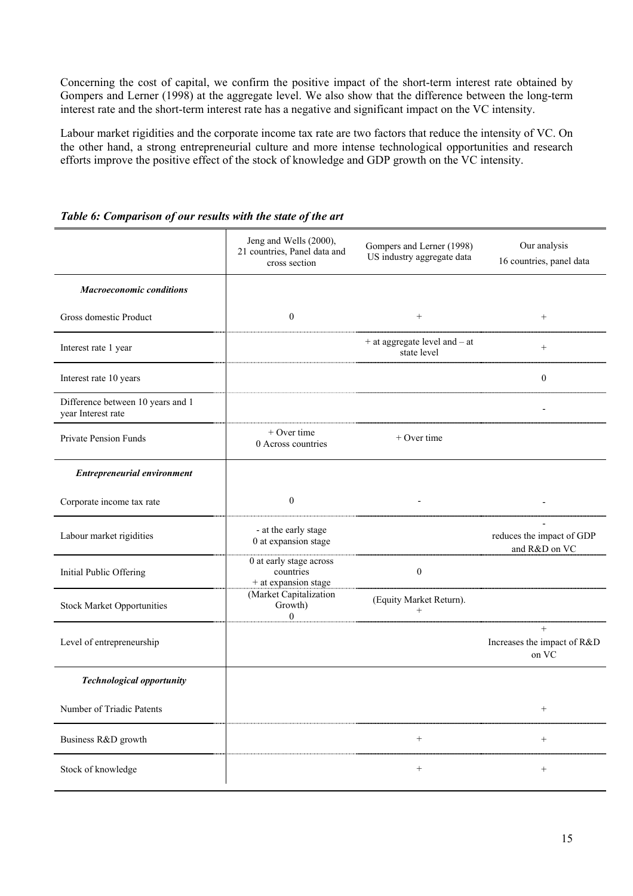Concerning the cost of capital, we confirm the positive impact of the short-term interest rate obtained by Gompers and Lerner (1998) at the aggregate level. We also show that the difference between the long-term interest rate and the short-term interest rate has a negative and significant impact on the VC intensity.

Labour market rigidities and the corporate income tax rate are two factors that reduce the intensity of VC. On the other hand, a strong entrepreneurial culture and more intense technological opportunities and research efforts improve the positive effect of the stock of knowledge and GDP growth on the VC intensity.

|                                                         | Jeng and Wells (2000),<br>21 countries, Panel data and<br>cross section | Gompers and Lerner (1998)<br>US industry aggregate data | Our analysis<br>16 countries, panel data       |
|---------------------------------------------------------|-------------------------------------------------------------------------|---------------------------------------------------------|------------------------------------------------|
| <b>Macroeconomic conditions</b>                         |                                                                         |                                                         |                                                |
| Gross domestic Product                                  | $\boldsymbol{0}$                                                        | $^{+}$                                                  | $^+$                                           |
| Interest rate 1 year                                    |                                                                         | + at aggregate level and - at<br>state level            | $\boldsymbol{+}$                               |
| Interest rate 10 years                                  |                                                                         |                                                         | $\boldsymbol{0}$                               |
| Difference between 10 years and 1<br>year Interest rate |                                                                         |                                                         |                                                |
| <b>Private Pension Funds</b>                            | $+$ Over time<br>0 Across countries                                     | + Over time                                             |                                                |
| <b>Entrepreneurial environment</b>                      |                                                                         |                                                         |                                                |
| Corporate income tax rate                               | $\boldsymbol{0}$                                                        |                                                         |                                                |
| Labour market rigidities                                | - at the early stage<br>0 at expansion stage                            |                                                         | reduces the impact of GDP<br>and R&D on VC     |
| Initial Public Offering                                 | 0 at early stage across<br>countries<br>+ at expansion stage            | $\boldsymbol{0}$                                        |                                                |
| <b>Stock Market Opportunities</b>                       | (Market Capitalization<br>Growth)<br>$\mathbf{0}$                       | (Equity Market Return).<br>$^{+}$                       |                                                |
| Level of entrepreneurship                               |                                                                         |                                                         | $^{+}$<br>Increases the impact of R&D<br>on VC |
| <b>Technological opportunity</b>                        |                                                                         |                                                         |                                                |
| Number of Triadic Patents                               |                                                                         |                                                         |                                                |
| Business R&D growth                                     |                                                                         | $^{+}$                                                  |                                                |
| Stock of knowledge                                      |                                                                         | $^{+}$                                                  | $+$                                            |

*Table 6: Comparison of our results with the state of the art*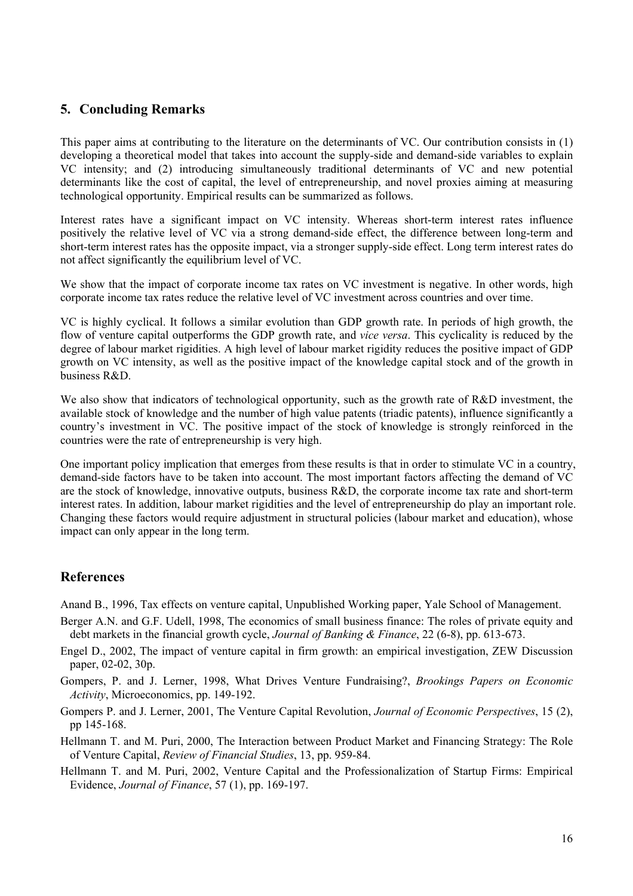# **5. Concluding Remarks**

This paper aims at contributing to the literature on the determinants of VC. Our contribution consists in (1) developing a theoretical model that takes into account the supply-side and demand-side variables to explain VC intensity; and (2) introducing simultaneously traditional determinants of VC and new potential determinants like the cost of capital, the level of entrepreneurship, and novel proxies aiming at measuring technological opportunity. Empirical results can be summarized as follows.

Interest rates have a significant impact on VC intensity. Whereas short-term interest rates influence positively the relative level of VC via a strong demand-side effect, the difference between long-term and short-term interest rates has the opposite impact, via a stronger supply-side effect. Long term interest rates do not affect significantly the equilibrium level of VC.

We show that the impact of corporate income tax rates on VC investment is negative. In other words, high corporate income tax rates reduce the relative level of VC investment across countries and over time.

VC is highly cyclical. It follows a similar evolution than GDP growth rate. In periods of high growth, the flow of venture capital outperforms the GDP growth rate, and *vice versa*. This cyclicality is reduced by the degree of labour market rigidities. A high level of labour market rigidity reduces the positive impact of GDP growth on VC intensity, as well as the positive impact of the knowledge capital stock and of the growth in business R&D.

We also show that indicators of technological opportunity, such as the growth rate of R&D investment, the available stock of knowledge and the number of high value patents (triadic patents), influence significantly a country's investment in VC. The positive impact of the stock of knowledge is strongly reinforced in the countries were the rate of entrepreneurship is very high.

One important policy implication that emerges from these results is that in order to stimulate VC in a country, demand-side factors have to be taken into account. The most important factors affecting the demand of VC are the stock of knowledge, innovative outputs, business R&D, the corporate income tax rate and short-term interest rates. In addition, labour market rigidities and the level of entrepreneurship do play an important role. Changing these factors would require adjustment in structural policies (labour market and education), whose impact can only appear in the long term.

# **References**

Anand B., 1996, Tax effects on venture capital, Unpublished Working paper, Yale School of Management.

- Berger A.N. and G.F. Udell, 1998, The economics of small business finance: The roles of private equity and debt markets in the financial growth cycle, *Journal of Banking & Finance*, 22 (6-8), pp. 613-673.
- Engel D., 2002, The impact of venture capital in firm growth: an empirical investigation, ZEW Discussion paper, 02-02, 30p.
- Gompers, P. and J. Lerner, 1998, What Drives Venture Fundraising?, *Brookings Papers on Economic Activity*, Microeconomics, pp. 149-192.
- Gompers P. and J. Lerner, 2001, The Venture Capital Revolution, *Journal of Economic Perspectives*, 15 (2), pp 145-168.
- Hellmann T. and M. Puri, 2000, The Interaction between Product Market and Financing Strategy: The Role of Venture Capital, *Review of Financial Studies*, 13, pp. 959-84.
- Hellmann T. and M. Puri, 2002, Venture Capital and the Professionalization of Startup Firms: Empirical Evidence, *Journal of Finance*, 57 (1), pp. 169-197.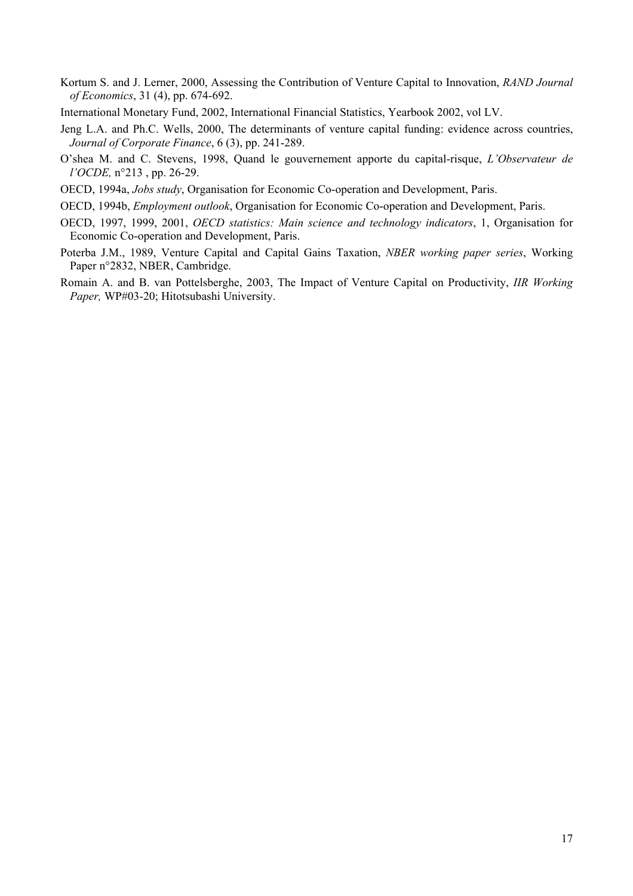- Kortum S. and J. Lerner, 2000, Assessing the Contribution of Venture Capital to Innovation, *RAND Journal of Economics*, 31 (4), pp. 674-692.
- International Monetary Fund, 2002, International Financial Statistics, Yearbook 2002, vol LV.
- Jeng L.A. and Ph.C. Wells, 2000, The determinants of venture capital funding: evidence across countries, *Journal of Corporate Finance*, 6 (3), pp. 241-289.
- O'shea M. and C. Stevens, 1998, Quand le gouvernement apporte du capital-risque, *L'Observateur de l'OCDE,* n°213 , pp. 26-29.
- OECD, 1994a, *Jobs study*, Organisation for Economic Co-operation and Development, Paris.
- OECD, 1994b, *Employment outlook*, Organisation for Economic Co-operation and Development, Paris.
- OECD, 1997, 1999, 2001, *OECD statistics: Main science and technology indicators*, 1, Organisation for Economic Co-operation and Development, Paris.
- Poterba J.M., 1989, Venture Capital and Capital Gains Taxation, *NBER working paper series*, Working Paper n°2832, NBER, Cambridge.
- Romain A. and B. van Pottelsberghe, 2003, The Impact of Venture Capital on Productivity, *IIR Working Paper,* WP#03-20; Hitotsubashi University.